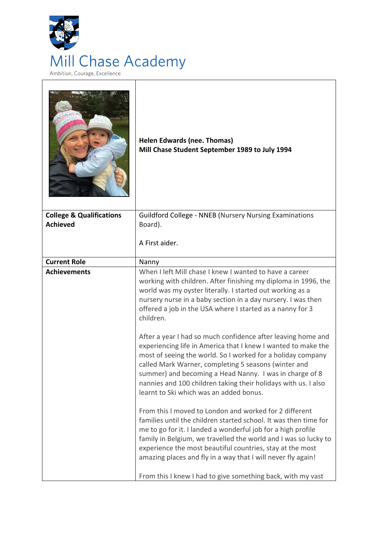

|                                     | <b>Helen Edwards (nee. Thomas)</b><br>Mill Chase Student September 1989 to July 1994                                                                                                                                                                                                                                                                                                                                         |
|-------------------------------------|------------------------------------------------------------------------------------------------------------------------------------------------------------------------------------------------------------------------------------------------------------------------------------------------------------------------------------------------------------------------------------------------------------------------------|
| <b>College &amp; Qualifications</b> | <b>Guildford College - NNEB (Nursery Nursing Examinations</b>                                                                                                                                                                                                                                                                                                                                                                |
| <b>Achieved</b>                     | Board).                                                                                                                                                                                                                                                                                                                                                                                                                      |
|                                     | A First aider.                                                                                                                                                                                                                                                                                                                                                                                                               |
| <b>Current Role</b>                 | Nanny                                                                                                                                                                                                                                                                                                                                                                                                                        |
| <b>Achievements</b>                 | When I left Mill chase I knew I wanted to have a career<br>working with children. After finishing my diploma in 1996, the<br>world was my oyster literally. I started out working as a<br>nursery nurse in a baby section in a day nursery. I was then<br>offered a job in the USA where I started as a nanny for 3<br>children.                                                                                             |
|                                     | After a year I had so much confidence after leaving home and<br>experiencing life in America that I knew I wanted to make the<br>most of seeing the world. So I worked for a holiday company<br>called Mark Warner, completing 5 seasons (winter and<br>summer) and becoming a Head Nanny. I was in charge of 8<br>nannies and 100 children taking their holidays with us. I also<br>learnt to Ski which was an added bonus. |
|                                     | From this I moved to London and worked for 2 different<br>families until the children started school. It was then time for<br>me to go for it. I landed a wonderful job for a high profile<br>family in Belgium, we travelled the world and I was so lucky to<br>experience the most beautiful countries, stay at the most<br>amazing places and fly in a way that I will never fly again!                                   |
|                                     | From this I knew I had to give something back, with my vast                                                                                                                                                                                                                                                                                                                                                                  |